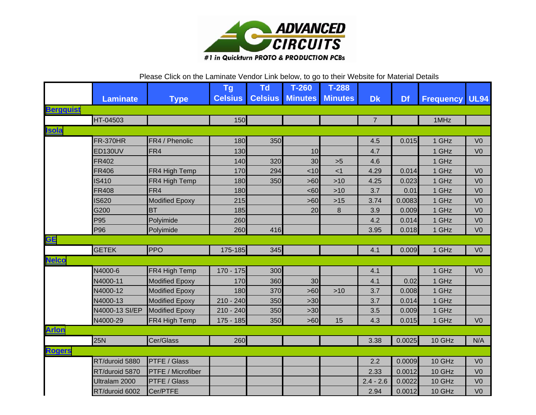

## Please Click on the Laminate Vendor Link below, to go to their Website for Material Details

|                         |                 |                       | <b>Tg</b>      | <b>Td</b>      | $T-260$        | $T-288$        |                |           |                       |                |
|-------------------------|-----------------|-----------------------|----------------|----------------|----------------|----------------|----------------|-----------|-----------------------|----------------|
|                         | <b>Laminate</b> | <b>Type</b>           | <b>Celsius</b> | <b>Celsius</b> | <b>Minutes</b> | <b>Minutes</b> | <b>Dk</b>      | <b>Df</b> | <b>Frequency UL94</b> |                |
| <b>Bergquist</b>        |                 |                       |                |                |                |                |                |           |                       |                |
|                         | HT-04503        |                       | 150            |                |                |                | $\overline{7}$ |           | 1MHz                  |                |
| <b>Isola</b>            |                 |                       |                |                |                |                |                |           |                       |                |
|                         | <b>FR-370HR</b> | FR4 / Phenolic        | 180            | 350            |                |                | 4.5            | 0.015     | 1 GHz                 | V <sub>0</sub> |
|                         | <b>ED130UV</b>  | FR4                   | 130            |                | 10             |                | 4.7            |           | 1 GHz                 | V <sub>0</sub> |
|                         | FR402           |                       | 140            | 320            | 30             | $>5$           | 4.6            |           | 1 GHz                 |                |
|                         | <b>FR406</b>    | FR4 High Temp         | 170            | 294            | < 10           | < 1            | 4.29           | 0.014     | 1 GHz                 | V <sub>0</sub> |
|                         | <b>IS410</b>    | FR4 High Temp         | 180            | 350            | $>60$          | $>10$          | 4.25           | 0.023     | 1 GHz                 | V <sub>0</sub> |
|                         | FR408           | FR4                   | 180            |                | <60            | $>10$          | 3.7            | 0.01      | 1 GHz                 | V <sub>0</sub> |
|                         | <b>IS620</b>    | <b>Modified Epoxy</b> | 215            |                | >60            | $>15$          | 3.74           | 0.0083    | 1 GHz                 | V <sub>0</sub> |
|                         | G200            | <b>BT</b>             | 185            |                | 20             | 8              | 3.9            | 0.009     | 1 GHz                 | V <sub>0</sub> |
|                         | P95             | Polyimide             | 260            |                |                |                | 4.2            | 0.014     | 1 GHz                 | V <sub>0</sub> |
|                         | P96             | Polyimide             | 260            | 416            |                |                | 3.95           | 0.018     | 1 GHz                 | V <sub>0</sub> |
| $\underline{\text{GE}}$ |                 |                       |                |                |                |                |                |           |                       |                |
|                         | <b>GETEK</b>    | <b>PPO</b>            | 175-185        | 345            |                |                | 4.1            | 0.009     | 1 GHz                 | V <sub>0</sub> |
| <b>Nelco</b>            |                 |                       |                |                |                |                |                |           |                       |                |
|                         | N4000-6         | FR4 High Temp         | $170 - 175$    | 300            |                |                | 4.1            |           | 1 GHz                 | V <sub>0</sub> |
|                         | N4000-11        | <b>Modified Epoxy</b> | 170            | 360            | 30             |                | 4.1            | 0.02      | 1 GHz                 |                |
|                         | N4000-12        | <b>Modified Epoxy</b> | 180            | 370            | $>60$          | $>10$          | 3.7            | 0.008     | 1 GHz                 |                |
|                         | N4000-13        | <b>Modified Epoxy</b> | $210 - 240$    | 350            | $>30$          |                | 3.7            | 0.014     | 1 GHz                 |                |
|                         | N4000-13 SI/EP  | <b>Modified Epoxy</b> | $210 - 240$    | 350            | $>30$          |                | 3.5            | 0.009     | 1 GHz                 |                |
|                         | N4000-29        | FR4 High Temp         | $175 - 185$    | 350            | $>60$          | 15             | 4.3            | 0.015     | 1 GHz                 | V <sub>0</sub> |
| <b>Arlon</b>            |                 |                       |                |                |                |                |                |           |                       |                |
|                         | 25N             | Cer/Glass             | 260            |                |                |                | 3.38           | 0.0025    | 10 GHz                | N/A            |
| <b>Rogers</b>           |                 |                       |                |                |                |                |                |           |                       |                |
|                         | RT/duroid 5880  | <b>PTFE / Glass</b>   |                |                |                |                | 2.2            | 0.0009    | 10 GHz                | V <sub>0</sub> |
|                         | RT/duroid 5870  | PTFE / Microfiber     |                |                |                |                | 2.33           | 0.0012    | 10 GHz                | V <sub>0</sub> |
|                         | Ultralam 2000   | PTFE / Glass          |                |                |                |                | $2.4 - 2.6$    | 0.0022    | 10 GHz                | V <sub>0</sub> |
|                         | RT/duroid 6002  | Cer/PTFE              |                |                |                |                | 2.94           | 0.0012    | 10 GHz                | V <sub>0</sub> |